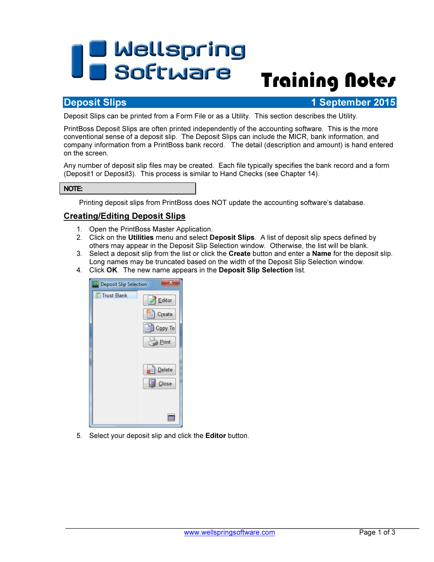# **The Mellspring<br>Training Notes**

# **Deposit Slips 1 September 2015**

Deposit Slips can be printed from a Form File or as a Utility. This section describes the Utility.

PrintBoss Deposit Slips are often printed independently of the accounting software. This is the more conventional sense of a deposit slip. The Deposit Slips can include the MICR, bank information, and company information from a PrintBoss bank record. The detail (description and amount) is hand entered on the screen.

Any number of deposit slip files may be created. Each file typically specifies the bank record and a form (Deposit1 or Deposit3). This process is similar to Hand Checks (see Chapter 14).

### NOTE:

Printing deposit slips from PrintBoss does NOT update the accounting software's database.

## Creating/Editing Deposit Slips

- 1. Open the PrintBoss Master Application.
- 2. Click on the Utilities menu and select Deposit Slips. A list of deposit slip specs defined by others may appear in the Deposit Slip Selection window. Otherwise, the list will be blank.
- 3. Select a deposit slip from the list or click the Create button and enter a Name for the deposit slip. Long names may be truncated based on the width of the Deposit Slip Selection window.
- 4. Click OK. The new name appears in the Deposit Slip Selection list.



5. Select your deposit slip and click the Editor button.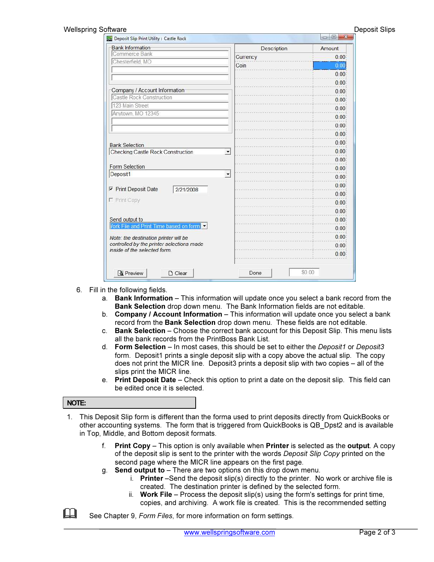| <b>Bank Information</b>                                                   | Description              | Amount |
|---------------------------------------------------------------------------|--------------------------|--------|
| Commerce Bank                                                             | Currency                 | 0.00   |
| Chesterfield, MO                                                          | Coin                     | 0.00   |
|                                                                           |                          | 0.00   |
|                                                                           |                          | 0.00   |
| Company / Account Information                                             |                          | 0.00   |
| Castle Rock Construction                                                  |                          | 0.00   |
| 123 Main Street                                                           |                          | 0.00   |
| Anytown, MO 12345                                                         |                          | 0.00   |
|                                                                           |                          | 0.00   |
|                                                                           |                          | 0.00   |
| <b>Bank Selection</b>                                                     |                          | 0.00   |
| Checking:Castle Rock Construction                                         | $\overline{\mathbf{v}}$  | 0.00   |
|                                                                           |                          | 0.00   |
| Form Selection                                                            |                          | 0.00   |
| Deposit1                                                                  | $\overline{\phantom{a}}$ | 0.00   |
|                                                                           |                          | 0.00   |
| $\nabla$ Print Deposit Date<br>2/21/2008<br>F Print Copy                  |                          | 0.00   |
|                                                                           |                          | 0.00   |
|                                                                           |                          | 0.00   |
| Send output to                                                            |                          | 0.00   |
| Vork File and Print Time based on form.                                   |                          | 0.00   |
| Note: the destination printer will be                                     |                          | 0.00   |
| controlled by the printer selections made<br>inside of the selected form. |                          | 0.00   |
|                                                                           |                          | 0.00   |

- 6. Fill in the following fields.
	- a. Bank Information This information will update once you select a bank record from the Bank Selection drop down menu. The Bank Information fields are not editable.
	- b. Company / Account Information This information will update once you select a bank record from the Bank Selection drop down menu. These fields are not editable.
	- c. Bank Selection Choose the correct bank account for this Deposit Slip. This menu lists all the bank records from the PrintBoss Bank List.
	- d. Form Selection In most cases, this should be set to either the *Deposit1* or *Deposit3* form. Deposit1 prints a single deposit slip with a copy above the actual slip. The copy does not print the MICR line. Deposit3 prints a deposit slip with two copies – all of the slips print the MICR line.
	- e. Print Deposit Date Check this option to print a date on the deposit slip. This field can be edited once it is selected.

#### NOTE:

- 1. This Deposit Slip form is different than the forma used to print deposits directly from QuickBooks or other accounting systems. The form that is triggered from QuickBooks is QB\_Dpst2 and is available in Top, Middle, and Bottom deposit formats.
	- f. Print Copy This option is only available when Printer is selected as the output. A copy of the deposit slip is sent to the printer with the words Deposit Slip Copy printed on the second page where the MICR line appears on the first page.
	- g. Send output to There are two options on this drop down menu.
		- i. **Printer** –Send the deposit slip(s) directly to the printer. No work or archive file is created. The destination printer is defined by the selected form.
		- ii. Work File Process the deposit slip(s) using the form's settings for print time, copies, and archiving. A work file is created. This is the recommended setting
- $\Box$  See Chapter 9, Form Files, for more information on form settings.